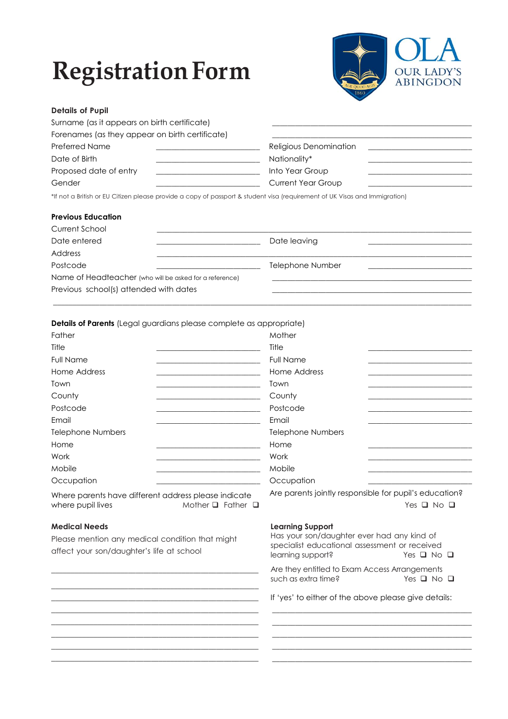# **Registration Form**



## **Details of Pupil**

| Surname (as it appears on birth certificate)    |  |                           |  |
|-------------------------------------------------|--|---------------------------|--|
| Forenames (as they appear on birth certificate) |  |                           |  |
| <b>Preferred Name</b>                           |  | Religious Denomination    |  |
| Date of Birth                                   |  | Nationality*              |  |
| Proposed date of entry                          |  | Into Year Group           |  |
| Gender                                          |  | <b>Current Year Group</b> |  |
|                                                 |  |                           |  |

\*If not a British or EU Citizen please provide a copy of passport & student visa (requirement of UK Visas and Immigration)

# **Previous Education** Current School Date entered \_\_\_\_\_\_\_\_\_\_\_\_\_\_\_\_\_\_\_\_\_\_\_\_\_\_\_ Date leaving \_\_\_\_\_\_\_\_\_\_\_\_\_\_\_\_\_\_\_\_\_\_\_\_\_\_\_ Address \_\_\_\_\_\_\_\_\_\_\_\_\_\_\_\_\_\_\_\_\_\_\_\_\_\_\_\_\_\_\_\_\_\_\_\_\_\_\_\_\_\_\_\_\_\_\_\_\_\_\_\_\_\_\_\_\_\_\_\_\_\_\_\_\_\_\_\_\_\_\_\_\_\_\_\_\_\_\_\_\_\_ Postcode \_\_\_\_\_\_\_\_\_\_\_\_\_\_\_\_\_\_\_\_\_\_\_\_\_\_\_ Telephone Number \_\_\_\_\_\_\_\_\_\_\_\_\_\_\_\_\_\_\_\_\_\_\_\_\_\_\_ Name of Headteacher (who will be asked for a reference) Previous school(s) attended with dates

 $\_$  ,  $\_$  ,  $\_$  ,  $\_$  ,  $\_$  ,  $\_$  ,  $\_$  ,  $\_$  ,  $\_$  ,  $\_$  ,  $\_$  ,  $\_$  ,  $\_$  ,  $\_$  ,  $\_$  ,  $\_$  ,  $\_$  ,  $\_$  ,  $\_$  ,  $\_$  ,  $\_$  ,  $\_$  ,  $\_$  ,  $\_$  ,  $\_$  ,  $\_$  ,  $\_$  ,  $\_$  ,  $\_$  ,  $\_$  ,  $\_$  ,  $\_$  ,  $\_$  ,  $\_$  ,  $\_$  ,  $\_$  ,  $\_$  ,

**Details of Parents** (Legal guardians please complete as appropriate)

| Father                   | Mother                   |  |
|--------------------------|--------------------------|--|
| Title                    | Title                    |  |
| <b>Full Name</b>         | Full Name                |  |
| Home Address             | Home Address             |  |
| Town                     | Town                     |  |
| County                   | County                   |  |
| Postcode                 | Postcode                 |  |
| Email                    | Email                    |  |
| <b>Telephone Numbers</b> | <b>Telephone Numbers</b> |  |
| Home                     | Home                     |  |
| Work                     | Work                     |  |
| Mobile                   | Mobile                   |  |
| Occupation               | Occupation               |  |
|                          |                          |  |

Where parents have different address please indicate where pupil lives Mother □ Father □

**\_\_\_\_\_\_\_\_\_\_\_\_\_\_\_\_\_\_\_\_\_\_\_\_\_\_\_\_\_\_\_\_\_\_\_\_\_\_\_\_\_\_\_\_\_\_\_\_\_\_\_\_\_\_** \_\_\_\_\_\_\_\_\_\_\_\_\_\_\_\_\_\_\_\_\_\_\_\_\_\_\_\_\_\_\_\_\_\_\_\_\_\_\_\_\_\_\_\_\_\_\_\_\_\_\_\_\_\_ \_\_\_\_\_\_\_\_\_\_\_\_\_\_\_\_\_\_\_\_\_\_\_\_\_\_\_\_\_\_\_\_\_\_\_\_\_\_\_\_\_\_\_\_\_\_\_\_\_\_\_\_\_\_

\_\_\_\_\_\_\_\_\_\_\_\_\_\_\_\_\_\_\_\_\_\_\_\_\_\_\_\_\_\_\_\_\_\_\_\_\_\_\_\_\_\_\_\_\_\_\_\_\_\_\_\_\_\_

\_\_\_\_\_\_\_\_\_\_\_\_\_\_\_\_\_\_\_\_\_\_\_\_\_\_\_\_\_\_\_\_\_\_\_\_\_\_\_\_\_\_\_\_\_\_\_\_\_\_\_\_\_\_

\_\_\_\_\_\_\_\_\_\_\_\_\_\_\_\_\_\_\_\_\_\_\_\_\_\_\_\_\_\_\_\_\_\_\_\_\_\_\_\_\_\_\_\_\_\_\_\_\_\_\_\_\_\_

\_\_\_\_\_\_\_\_\_\_\_\_\_\_\_\_\_\_\_\_\_\_\_\_\_\_\_\_\_\_\_\_\_\_\_\_\_\_\_\_\_\_\_\_\_\_\_\_\_\_\_\_\_\_

 $\overline{\phantom{a}}$  , which is a set of the set of the set of the set of the set of the set of the set of the set of the set of the set of the set of the set of the set of the set of the set of the set of the set of the set of th

 $\overline{\phantom{a}}$  , which is a set of the set of the set of the set of the set of the set of the set of the set of the set of the set of the set of the set of the set of the set of the set of the set of the set of the set of th

 $\overline{\phantom{a}}$  , which is a set of the set of the set of the set of the set of the set of the set of the set of the set of the set of the set of the set of the set of the set of the set of the set of the set of the set of th

 $\overline{\phantom{a}}$  , which is a set of the set of the set of the set of the set of the set of the set of the set of the set of the set of the set of the set of the set of the set of the set of the set of the set of the set of th

\_\_\_\_\_\_\_\_\_\_\_\_\_\_\_\_\_\_\_\_\_\_\_\_\_\_\_\_\_\_\_\_\_\_\_\_\_\_\_\_\_\_\_\_\_\_\_\_\_\_\_\_\_\_ \_\_\_\_\_\_\_\_\_\_\_\_\_\_\_\_\_\_\_\_\_\_\_\_\_\_\_\_\_\_\_\_\_\_\_\_\_\_\_\_\_\_\_\_\_\_\_\_\_\_\_\_

Please mention any medical condition that might affect your son/daughter's life at school

| opropriare)              |  |
|--------------------------|--|
| Mother                   |  |
| Title                    |  |
| Full Name                |  |
| Home Address             |  |
| Town                     |  |
| County                   |  |
| Postcode                 |  |
| Email                    |  |
| <b>Telephone Numbers</b> |  |
| Home                     |  |
| Work                     |  |
| Mobile                   |  |
| Occupation               |  |
|                          |  |

Are parents jointly responsible for pupil's education? Yes ❑ No ❑

### **Medical Needs Learning Support**

Has your son/daughter ever had any kind of specialist educational assessment or received learning support? Yes ❑ No ❑

Are they entitled to Exam Access Arrangements such as extra time? Yes □ No □

If 'yes' to either of the above please give details:

\_\_\_\_\_\_\_\_\_\_\_\_\_\_\_\_\_\_\_\_\_\_\_\_\_\_\_\_\_\_\_\_\_\_\_\_\_\_\_\_\_\_\_\_\_\_\_\_\_\_\_\_

\_\_\_\_\_\_\_\_\_\_\_\_\_\_\_\_\_\_\_\_\_\_\_\_\_\_\_\_\_\_\_\_\_\_\_\_\_\_\_\_\_\_\_\_\_\_\_\_\_\_\_\_

\_\_\_\_\_\_\_\_\_\_\_\_\_\_\_\_\_\_\_\_\_\_\_\_\_\_\_\_\_\_\_\_\_\_\_\_\_\_\_\_\_\_\_\_\_\_\_\_\_\_\_\_

\_\_\_\_\_\_\_\_\_\_\_\_\_\_\_\_\_\_\_\_\_\_\_\_\_\_\_\_\_\_\_\_\_\_\_\_\_\_\_\_\_\_\_\_\_\_\_\_\_\_\_\_